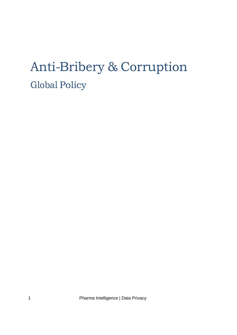# Anti-Bribery & Corruption Global Policy

1 Pharma Intelligence | Data Privacy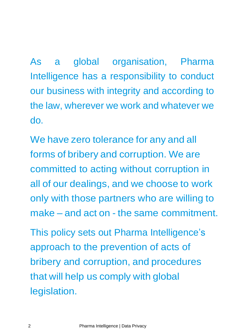As a global organisation, Pharma Intelligence has a responsibility to conduct our business with integrity and according to the law, wherever we work and whatever we do.

We have zero tolerance for any and all forms of bribery and corruption. We are committed to acting without corruption in all of our dealings, and we choose to work only with those partners who are willing to make – and act on - the same commitment.

This policy sets out Pharma Intelligence's approach to the prevention of acts of bribery and corruption, and procedures that will help us comply with global legislation.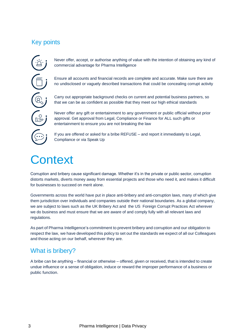## Key points



Never offer, accept, or authorise anything of value with the intention of obtaining any kind of commercial advantage for Pharma Intelligence

Ensure all accounts and financial records are complete and accurate. Make sure there are no undisclosed or vaguely described transactions that could be concealing corrupt activity

Carry out appropriate background checks on current and potential business partners, so that we can be as confident as possible that they meet our high ethical standards

Never offer any gift or entertainment to any government or public official without prior approval. Get approval from Legal, Compliance or Finance for ALL such gifts or entertainment to ensure you are not breaking the law

If you are offered or asked for a bribe REFUSE – and report it immediately to Legal, Compliance or via Speak Up

# **Context**

Corruption and bribery cause significant damage. Whether it's in the private or public sector, corruption distorts markets, diverts money away from essential projects and those who need it, and makes it difficult for businesses to succeed on merit alone.

Governments across the world have put in place anti-bribery and anti-corruption laws, many of which give them jurisdiction over individuals and companies outside their national boundaries. As a global company, we are subject to laws such as the UK Bribery Act and the US Foreign Corrupt Practices Act wherever we do business and must ensure that we are aware of and comply fully with all relevant laws and regulations.

As part of Pharma Intelligence's commitment to prevent bribery and corruption and our obligation to respect the law, we have developed this policy to set out the standards we expect of all our Colleagues and those acting on our behalf, wherever they are.

#### What is bribery?

A bribe can be anything – financial or otherwise – offered, given or received, that is intended to create undue influence or a sense of obligation, induce or reward the improper performance of a business or public function.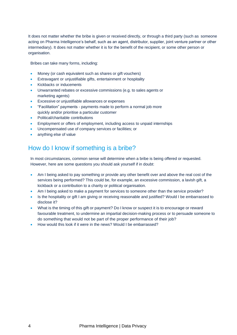It does not matter whether the bribe is given or received directly, or through a third party (such as someone acting on Pharma Intelligence's behalf, such as an agent, distributor, supplier, joint venture partner or other intermediary). It does not matter whether it is for the benefit of the recipient, or some other person or organisation.

Bribes can take many forms, including:

- Money (or cash equivalent such as shares or gift vouchers)
- Extravagant or unjustifiable gifts, entertainment or hospitality
- Kickbacks or inducements
- Unwarranted rebates or excessive commissions (e.g. to sales agents or marketing agents)
- Excessive or unjustifiable allowances or expenses
- "Facilitation" payments payments made to perform a normal job more quickly and/or prioritise a particular customer
- Political/charitable contributions
- Employment or offers of employment, including access to unpaid internships
- Uncompensated use of company services or facilities; or
- anything else of value

### How do I know if something is a bribe?

In most circumstances, common sense will determine when a bribe is being offered or requested. However, here are some questions you should ask yourself if in doubt:

- Am I being asked to pay something or provide any other benefit over and above the real cost of the services being performed? This could be, for example, an excessive commission, a lavish gift, a kickback or a contribution to a charity or political organisation.
- Am I being asked to make a payment for services to someone other than the service provider?
- Is the hospitality or gift I am giving or receiving reasonable and justified? Would I be embarrassed to disclose it?
- What is the timing of this gift or payment? Do I know or suspect it is to encourage or reward favourable treatment, to undermine an impartial decision-making process or to persuade someone to do something that would not be part of the proper performance of their job?
- How would this look if it were in the news? Would I be embarrassed?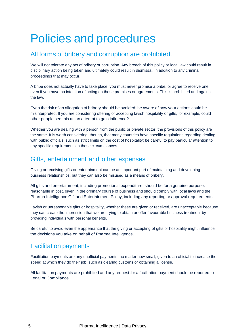# Policies and procedures

#### All forms of bribery and corruption are prohibited.

We will not tolerate any act of bribery or corruption. Any breach of this policy or local law could result in disciplinary action being taken and ultimately could result in dismissal, in addition to any criminal proceedings that may occur.

A bribe does not actually have to take place: you must never promise a bribe, or agree to receive one, even if you have no intention of acting on those promises or agreements. This is prohibited and against the law.

Even the risk of an allegation of bribery should be avoided: be aware of how your actions could be misinterpreted. If you are considering offering or accepting lavish hospitality or gifts, for example, could other people see this as an attempt to gain influence?

Whether you are dealing with a person from the public or private sector, the provisions of this policy are the same. It is worth considering, though, that many countries have specific regulations regarding dealing with public officials, such as strict limits on the cost of hospitality: be careful to pay particular attention to any specific requirements in these circumstances.

#### Gifts, entertainment and other expenses

Giving or receiving gifts or entertainment can be an important part of maintaining and developing business relationships, but they can also be misused as a means of bribery.

All gifts and entertainment, including promotional expenditure, should be for a genuine purpose, reasonable in cost, given in the ordinary course of business and should comply with local laws and the Pharma Intelligence Gift and Entertainment Policy, including any reporting or approval requirements.

Lavish or unreasonable gifts or hospitality, whether these are given or received, are unacceptable because they can create the impression that we are trying to obtain or offer favourable business treatment by providing individuals with personal benefits.

Be careful to avoid even the appearance that the giving or accepting of gifts or hospitality might influence the decisions you take on behalf of Pharma Intelligence.

#### Facilitation payments

Facilitation payments are any unofficial payments, no matter how small, given to an official to increase the speed at which they do their job, such as clearing customs or obtaining a license.

All facilitation payments are prohibited and any request for a facilitation payment should be reported to Legal or Compliance.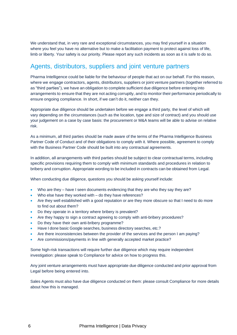We understand that, in very rare and exceptional circumstances, you may find yourself in a situation where you feel you have no alternative but to make a facilitation payment to protect against loss of life, limb or liberty. Your safety is our priority. Please report any such incidents as soon as it is safe to do so.

#### Agents, distributors, suppliers and joint venture partners

Pharma Intelligence could be liable for the behaviour of people that act on our behalf. For this reason, where we engage contractors, agents, distributors, suppliers or joint venture partners (together referred to as "third parties"), we have an obligation to complete sufficient due diligence before entering into arrangements to ensure that they are not acting corruptly, and to monitor their performance periodically to ensure ongoing compliance. In short, if we can't do it, neither can they.

Appropriate due diligence should be undertaken before we engage a third party, the level of which will vary depending on the circumstances (such as the location, type and size of contract) and you should use your judgement on a case by case basis: the procurement or M&A teams will be able to advise on relative risk.

As a minimum, all third parties should be made aware of the terms of the Pharma Intelligence Business Partner Code of Conduct and of their obligations to comply with it. Where possible, agreement to comply with the Business Partner Code should be built into any contractual agreements.

In addition, all arrangements with third parties should be subject to clear contractual terms, including specific provisions requiring them to comply with minimum standards and procedures in relation to bribery and corruption. Appropriate wording to be included in contracts can be obtained from Legal.

When conducting due diligence, questions you should be asking yourself include:

- Who are they have I seen documents evidencing that they are who they say they are?
- Who else have they worked with do they have references?
- Are they well established with a good reputation or are they more obscure so that I need to do more to find out about them?
- Do they operate in a territory where bribery is prevalent?
- Are they happy to sign a contract agreeing to comply with anti-bribery procedures?
- Do they have their own anti-bribery programme?
- Have I done basic Google searches, business directory searches, etc.?
- Are there inconsistencies between the provider of the services and the person I am paying?
- Are commissions/payments in line with generally accepted market practice?

Some high-risk transactions will require further due diligence which may require independent investigation: please speak to Compliance for advice on how to progress this.

Any joint venture arrangements must have appropriate due diligence conducted and prior approval from Legal before being entered into.

Sales Agents must also have due diligence conducted on them: please consult Compliance for more details about how this is managed.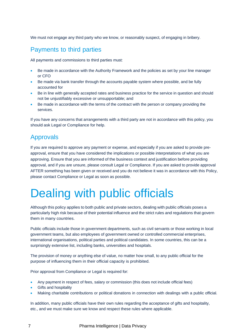We must not engage any third party who we know, or reasonably suspect, of engaging in bribery.

#### Payments to third parties

All payments and commissions to third parties must:

- Be made in accordance with the Authority Framework and the policies as set by your line manager or CFO
- Be made via bank transfer through the accounts payable system where possible, and be fully accounted for
- Be in line with generally accepted rates and business practice for the service in question and should not be unjustifiably excessive or unsupportable; and
- Be made in accordance with the terms of the contract with the person or company providing the services.

If you have any concerns that arrangements with a third party are not in accordance with this policy, you should ask Legal or Compliance for help.

### Approvals

If you are required to approve any payment or expense, and especially if you are asked to provide preapproval, ensure that you have considered the implications or possible interpretations of what you are approving. Ensure that you are informed of the business context and justification before providing approval, and if you are unsure, please consult Legal or Compliance. If you are asked to provide approval AFTER something has been given or received and you do not believe it was in accordance with this Policy, please contact Compliance or Legal as soon as possible.

# Dealing with public officials

Although this policy applies to both public and private sectors, dealing with public officials poses a particularly high risk because of their potential influence and the strict rules and regulations that govern them in many countries.

Public officials include those in government departments, such as civil servants or those working in local government teams, but also employees of government owned or controlled commercial enterprises, international organisations, political parties and political candidates. In some countries, this can be a surprisingly extensive list, including banks, universities and hospitals.

The provision of money or anything else of value, no matter how small, to any public official for the purpose of influencing them in their official capacity is prohibited.

Prior approval from Compliance or Legal is required for:

- Any payment in respect of fees, salary or commission (this does not include official fees)
- Gifts and hospitality
- Making charitable contributions or political donations in connection with dealings with a public official.

In addition, many public officials have their own rules regarding the acceptance of gifts and hospitality, etc., and we must make sure we know and respect these rules where applicable.